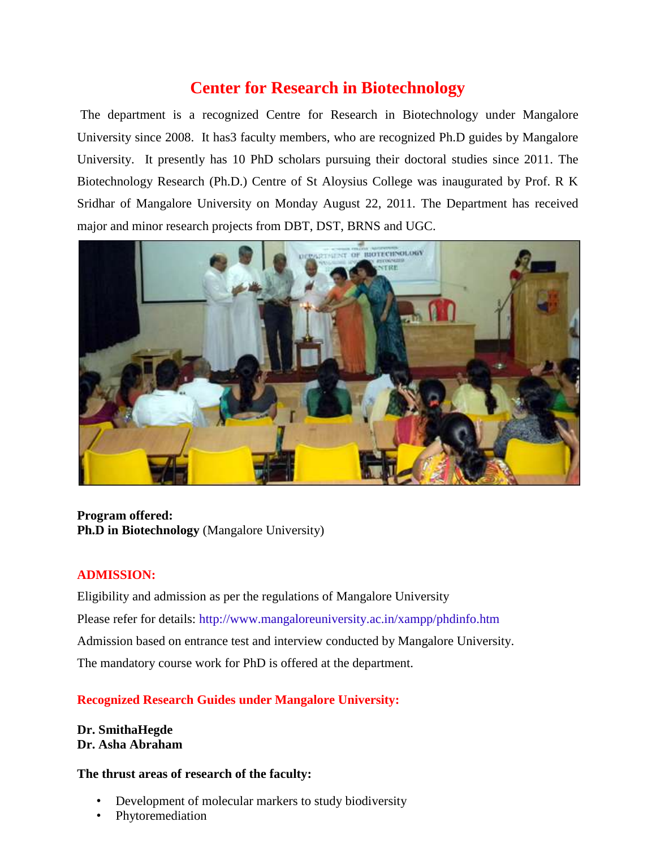## **Center for Research in Biotechnology**

The department is a recognized Centre for Research in Biotechnology under Mangalore University since 2008. It has3 faculty members, who are recognized Ph.D guides by Mangalore University. It presently has 10 PhD scholars pursuing their doctoral studies since 2011. The Biotechnology Research (Ph.D.) Centre of St Aloysius College was inaugurated by Prof. R K Sridhar of Mangalore University on Monday August 22, 2011. The Department has received major and minor research projects from DBT, DST, BRNS and UGC.



### **Program offered: Ph.D in Biotechnology** (Mangalore University)

#### **ADMISSION:**

Eligibility and admission as per the regulations of Mangalore University Please refer for details: http://www.mangaloreuniversity.ac.in/xampp/phdinfo.htm Admission based on entrance test and interview conducted by Mangalore University. The mandatory course work for PhD is offered at the department.

#### **Recognized Research Guides under Mangalore University:**

**Dr. SmithaHegde Dr. Asha Abraham**

#### **The thrust areas of research of the faculty:**

- Development of molecular markers to study biodiversity
- Phytoremediation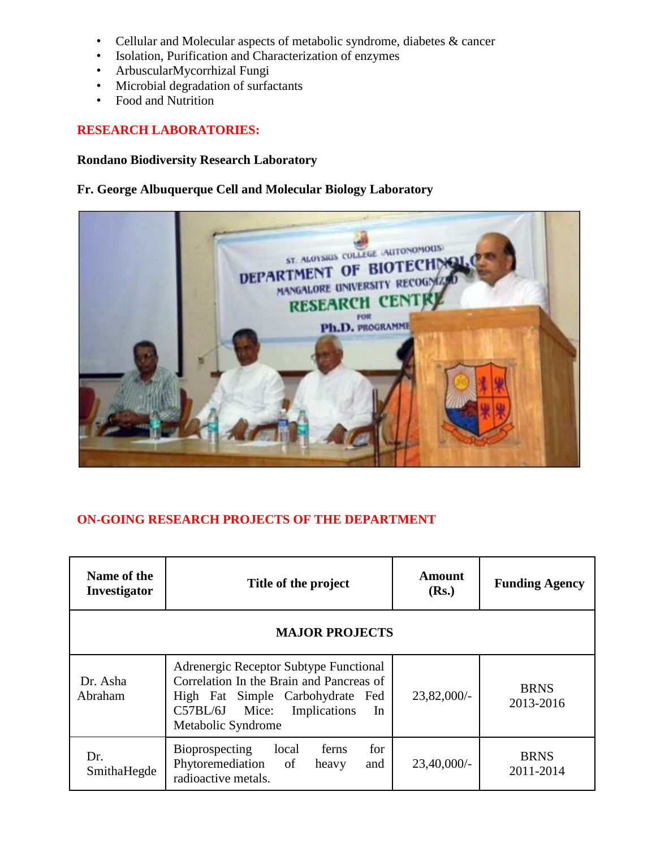- Cellular and Molecular aspects of metabolic syndrome, diabetes & cancer
- Isolation, Purification and Characterization of enzymes
- ArbuscularMycorrhizal Fungi
- Microbial degradation of surfactants
- Food and Nutrition

#### **RESEARCH LABORATORIES:**

#### **Rondano Biodiversity Research Laboratory**

#### **Fr. George Albuquerque Cell and Molecular Biology Laboratory**



#### **ON-GOING RESEARCH PROJECTS OF THE DEPARTMENT**

| Name of the<br>Investigator | Title of the project                                                                                                                                                                   | <b>Amount</b><br>(Rs.) | <b>Funding Agency</b>    |  |
|-----------------------------|----------------------------------------------------------------------------------------------------------------------------------------------------------------------------------------|------------------------|--------------------------|--|
| <b>MAJOR PROJECTS</b>       |                                                                                                                                                                                        |                        |                          |  |
| Dr. Asha<br>Abraham         | Adrenergic Receptor Subtype Functional<br>Correlation In the Brain and Pancreas of<br>High Fat Simple Carbohydrate Fed<br>Implications<br>$C57BL/6J$ Mice:<br>In<br>Metabolic Syndrome | $23,82,000/$ -         | <b>BRNS</b><br>2013-2016 |  |
| Dr.<br>SmithaHegde          | Bioprospecting<br>for<br>local<br>ferns<br>Phytoremediation<br>of<br>and<br>heavy<br>radioactive metals.                                                                               | $23,40,000/$ -         | <b>BRNS</b><br>2011-2014 |  |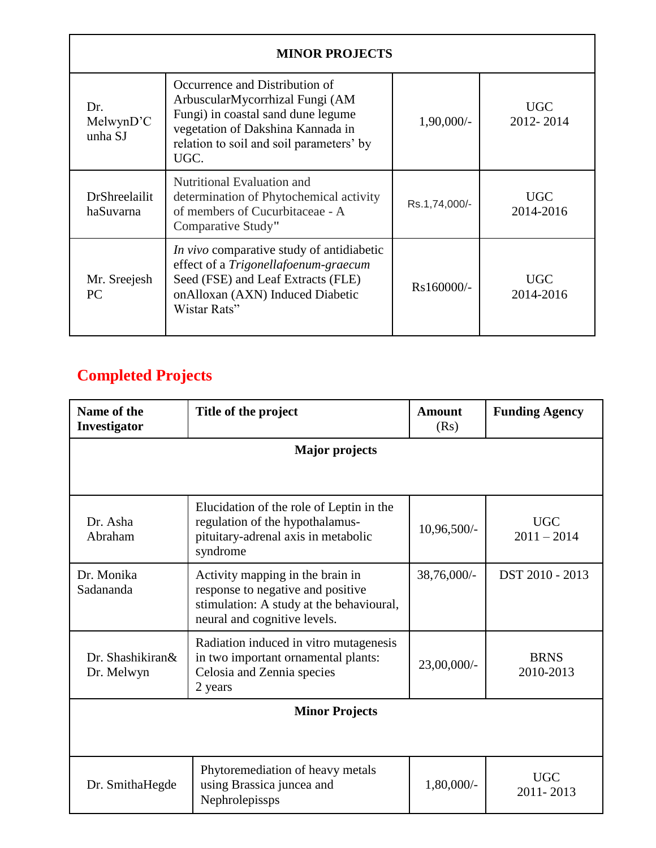| <b>MINOR PROJECTS</b>             |                                                                                                                                                                                                  |               |                         |  |  |
|-----------------------------------|--------------------------------------------------------------------------------------------------------------------------------------------------------------------------------------------------|---------------|-------------------------|--|--|
| Dr.<br>MelwynD'C<br>unha SJ       | Occurrence and Distribution of<br>ArbuscularMycorrhizal Fungi (AM<br>Fungi) in coastal sand dune legume<br>vegetation of Dakshina Kannada in<br>relation to soil and soil parameters' by<br>UGC. | $1,90,000/-$  | <b>UGC</b><br>2012-2014 |  |  |
| <b>DrShreelailit</b><br>haSuvarna | Nutritional Evaluation and<br>determination of Phytochemical activity<br>of members of Cucurbitaceae - A<br>Comparative Study"                                                                   | Rs.1,74,000/- | <b>UGC</b><br>2014-2016 |  |  |
| Mr. Sreejesh<br><b>PC</b>         | <i>In vivo</i> comparative study of antidiabetic<br>effect of a Trigonellafoenum-graecum<br>Seed (FSE) and Leaf Extracts (FLE)<br>onAlloxan (AXN) Induced Diabetic<br>Wistar Rats"               | $Rs160000/-$  | <b>UGC</b><br>2014-2016 |  |  |

# **Completed Projects**

| Name of the<br>Investigator    | Title of the project                                                                                                                              | <b>Amount</b><br>(Rs) | <b>Funding Agency</b>       |  |  |
|--------------------------------|---------------------------------------------------------------------------------------------------------------------------------------------------|-----------------------|-----------------------------|--|--|
| <b>Major</b> projects          |                                                                                                                                                   |                       |                             |  |  |
|                                |                                                                                                                                                   |                       |                             |  |  |
| Dr. Asha<br>Abraham            | Elucidation of the role of Leptin in the<br>regulation of the hypothalamus-<br>pituitary-adrenal axis in metabolic<br>syndrome                    | 10,96,500/-           | <b>UGC</b><br>$2011 - 2014$ |  |  |
| Dr. Monika<br>Sadananda        | Activity mapping in the brain in<br>response to negative and positive<br>stimulation: A study at the behavioural,<br>neural and cognitive levels. | 38,76,000/-           | DST 2010 - 2013             |  |  |
| Dr. Shashikiran&<br>Dr. Melwyn | Radiation induced in vitro mutagenesis<br>in two important ornamental plants:<br>Celosia and Zennia species<br>2 years                            | 23,00,000/-           | <b>BRNS</b><br>2010-2013    |  |  |
| <b>Minor Projects</b>          |                                                                                                                                                   |                       |                             |  |  |
|                                |                                                                                                                                                   |                       |                             |  |  |
| Dr. SmithaHegde                | Phytoremediation of heavy metals<br>using Brassica juncea and<br>Nephrolepissps                                                                   | 1,80,000/-            | <b>UGC</b><br>2011-2013     |  |  |